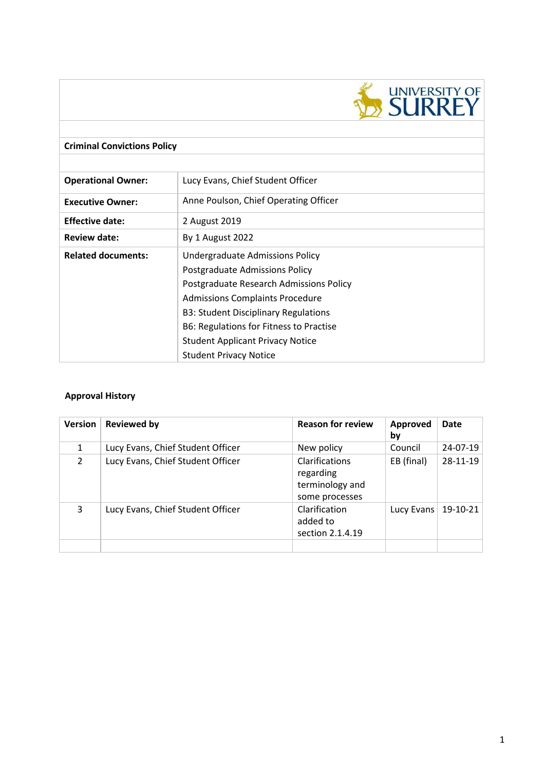

# **Criminal Convictions Policy Operational Owner:** Lucy Evans, Chief Student Officer **Executive Owner:** Anne Poulson, Chief Operating Officer **Effective date:** 2 August 2019 **Review date:** By 1 August 2022 **Related documents:** Undergraduate Admissions Policy Postgraduate Admissions Policy Postgraduate Research Admissions Policy Admissions Complaints Procedure B3: Student Disciplinary Regulations B6: Regulations for Fitness to Practise Student Applicant Privacy Notice Student Privacy Notice

# **Approval History**

| <b>Version</b> | <b>Reviewed by</b>                | <b>Reason for review</b>                                                | Approved<br>by | Date       |
|----------------|-----------------------------------|-------------------------------------------------------------------------|----------------|------------|
| $\mathbf{1}$   | Lucy Evans, Chief Student Officer | New policy                                                              | Council        | 24-07-19   |
| $\mathcal{P}$  | Lucy Evans, Chief Student Officer | <b>Clarifications</b><br>regarding<br>terminology and<br>some processes | EB (final)     | 28-11-19   |
| 3              | Lucy Evans, Chief Student Officer | Clarification<br>added to<br>section 2.1.4.19                           | Lucy Evans     | $19-10-21$ |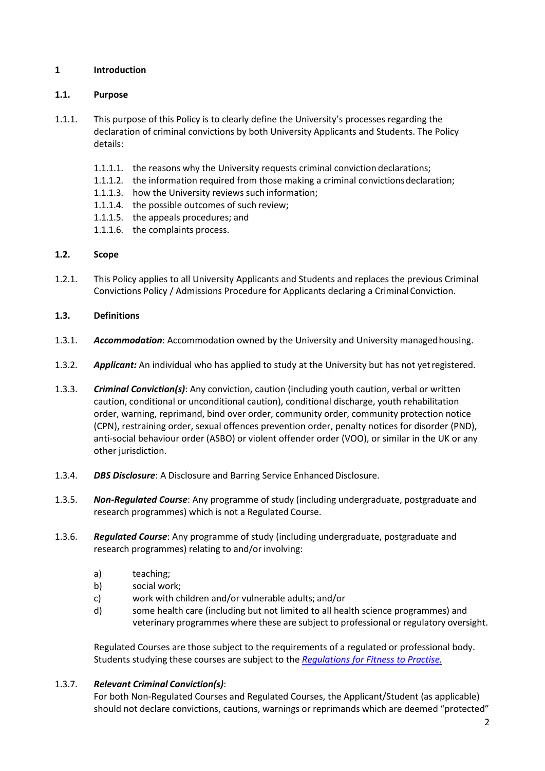# **1 Introduction**

# **1.1. Purpose**

- 1.1.1. This purpose of this Policy is to clearly define the University's processes regarding the declaration of criminal convictions by both University Applicants and Students. The Policy details:
	- 1.1.1.1. the reasons why the University requests criminal conviction declarations;
	- 1.1.1.2. the information required from those making a criminal convictionsdeclaration;
	- 1.1.1.3. how the University reviews such information;
	- 1.1.1.4. the possible outcomes of such review;
	- 1.1.1.5. the appeals procedures; and
	- 1.1.1.6. the complaints process.

# **1.2. Scope**

1.2.1. This Policy applies to all University Applicants and Students and replaces the previous Criminal Convictions Policy / Admissions Procedure for Applicants declaring a CriminalConviction.

# **1.3. Definitions**

- 1.3.1. *Accommodation*: Accommodation owned by the University and University managedhousing.
- 1.3.2. *Applicant:* An individual who has applied to study at the University but has not yetregistered.
- 1.3.3. *Criminal Conviction(s)*: Any conviction, caution (including youth caution, verbal or written caution, conditional or unconditional caution), conditional discharge, youth rehabilitation order, warning, reprimand, bind over order, community order, community protection notice (CPN), restraining order, sexual offences prevention order, penalty notices for disorder (PND), anti-social behaviour order (ASBO) or violent offender order (VOO), or similar in the UK or any other jurisdiction.
- 1.3.4. *DBS Disclosure*: A Disclosure and Barring Service Enhanced Disclosure.
- 1.3.5. *Non-Regulated Course*: Any programme of study (including undergraduate, postgraduate and research programmes) which is not a Regulated Course.
- 1.3.6. *Regulated Course*: Any programme of study (including undergraduate, postgraduate and research programmes) relating to and/or involving:
	- a) teaching;
	- b) social work;
	- c) work with children and/or vulnerable adults; and/or
	- d) some health care (including but not limited to all health science programmes) and veterinary programmes where these are subject to professional or regulatory oversight.

Regulated Courses are those subject to the requirements of a regulated or professional body. Students studying these courses are subject to the *[Regulations for Fitness to Practise.](https://surreynet.surrey.ac.uk/academic-services/quality-enhancement-and-standards/regulations-and-codes-practice)*

# 1.3.7. *Relevant Criminal Conviction(s)*:

For both Non-Regulated Courses and Regulated Courses, the Applicant/Student (as applicable) should not declare convictions, cautions, warnings or reprimands which are deemed "protected"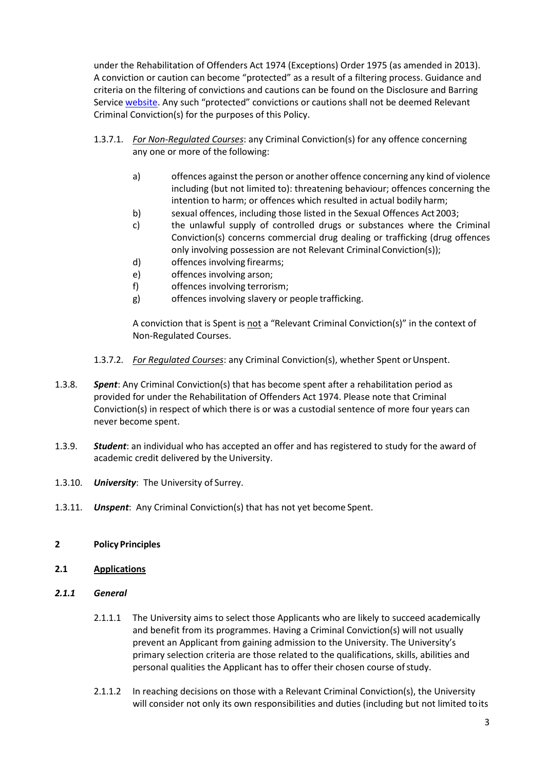under the Rehabilitation of Offenders Act 1974 (Exceptions) Order 1975 (as amended in 2013). A conviction or caution can become "protected" as a result of a filtering process. Guidance and criteria on the filtering of convictions and cautions can be found on the Disclosure and Barring Service [website.](https://www.gov.uk/government/collections/dbs-filtering-guidance) Any such "protected" convictions or cautions shall not be deemed Relevant Criminal Conviction(s) for the purposes of this Policy.

- 1.3.7.1. *For Non-Regulated Courses*: any Criminal Conviction(s) for any offence concerning any one or more of the following:
	- a) offences against the person or another offence concerning any kind of violence including (but not limited to): threatening behaviour; offences concerning the intention to harm; or offences which resulted in actual bodily harm;
	- b) sexual offences, including those listed in the Sexual Offences Act 2003;
	- c) the unlawful supply of controlled drugs or substances where the Criminal Conviction(s) concerns commercial drug dealing or trafficking (drug offences only involving possession are not Relevant CriminalConviction(s));
	- d) offences involving firearms;
	- e) offences involving arson;
	- f) offences involving terrorism;
	- g) offences involving slavery or people trafficking.

A conviction that is Spent is not a "Relevant Criminal Conviction(s)" in the context of Non-Regulated Courses.

- 1.3.7.2. *For Regulated Courses*: any Criminal Conviction(s), whether Spent orUnspent.
- 1.3.8. *Spent*: Any Criminal Conviction(s) that has become spent after a rehabilitation period as provided for under the Rehabilitation of Offenders Act 1974. Please note that Criminal Conviction(s) in respect of which there is or was a custodial sentence of more four years can never become spent.
- 1.3.9. *Student*: an individual who has accepted an offer and has registered to study for the award of academic credit delivered by the University.
- 1.3.10. *University*: The University of Surrey.
- 1.3.11. *Unspent*: Any Criminal Conviction(s) that has not yet become Spent.

# **2 Policy Principles**

- **2.1 Applications**
- *2.1.1 General*
	- 2.1.1.1 The University aims to select those Applicants who are likely to succeed academically and benefit from its programmes. Having a Criminal Conviction(s) will not usually prevent an Applicant from gaining admission to the University. The University's primary selection criteria are those related to the qualifications, skills, abilities and personal qualities the Applicant has to offer their chosen course of study.
	- 2.1.1.2 In reaching decisions on those with a Relevant Criminal Conviction(s), the University will consider not only its own responsibilities and duties (including but not limited toits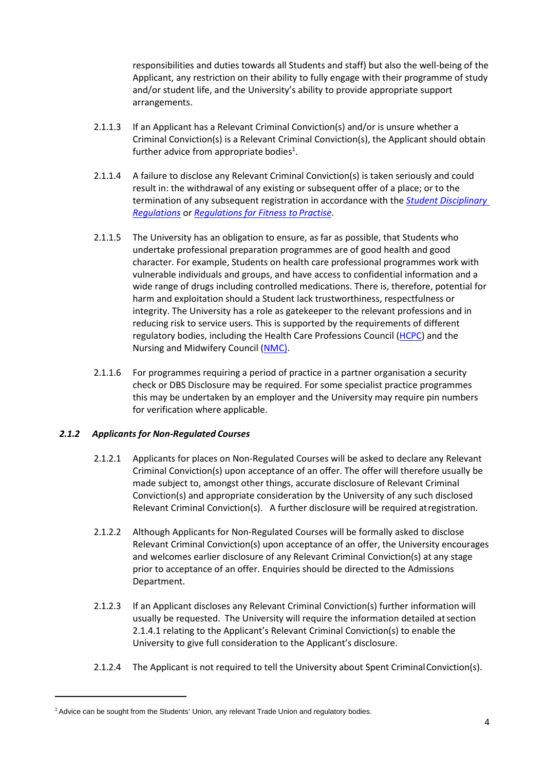responsibilities and duties towards all Students and staff) but also the well-being of the Applicant, any restriction on their ability to fully engage with their programme of study and/or student life, and the University's ability to provide appropriate support arrangements.

- 2.1.1.3 If an Applicant has a Relevant Criminal Conviction(s) and/or is unsure whether a Criminal Conviction(s) is a Relevant Criminal Conviction(s), the Applicant should obtain further advice from appropriate bodies<sup>1</sup>.
- 2.1.1.4 A failure to disclose any Relevant Criminal Conviction(s) is taken seriously and could result in: the withdrawal of any existing or subsequent offer of a place; or to the termination of any subsequent registration in accordance with the *[Student Disciplinary](https://surreynet.surrey.ac.uk/academic-services/quality-enhancement-and-standards/regulations-and-codes-practice) [Regulations](https://surreynet.surrey.ac.uk/academic-services/quality-enhancement-and-standards/regulations-and-codes-practice)* or *[Regulations for Fitness to](https://surreynet.surrey.ac.uk/academic-services/quality-enhancement-and-standards/regulations-and-codes-practice) Practise*.
- 2.1.1.5 The University has an obligation to ensure, as far as possible, that Students who undertake professional preparation programmes are of good health and good character. For example, Students on health care professional programmes work with vulnerable individuals and groups, and have access to confidential information and a wide range of drugs including controlled medications. There is, therefore, potential for harm and exploitation should a Student lack trustworthiness, respectfulness or integrity. The University has a role as gatekeeper to the relevant professions and in reducing risk to service users. This is supported by the requirements of different regulatory bodies, including the Health Care Professions Council [\(HCPC\)](https://www.hcpc-uk.org/) and the Nursing and Midwifery Council [\(NMC\)](https://www.nmc.org.uk/).
- 2.1.1.6 For programmes requiring a period of practice in a partner organisation a security check or DBS Disclosure may be required. For some specialist practice programmes this may be undertaken by an employer and the University may require pin numbers for verification where applicable.

# *2.1.2 Applicants for Non-Regulated Courses*

- 2.1.2.1 Applicants for places on Non-Regulated Courses will be asked to declare any Relevant Criminal Conviction(s) upon acceptance of an offer. The offer will therefore usually be made subject to, amongst other things, accurate disclosure of Relevant Criminal Conviction(s) and appropriate consideration by the University of any such disclosed Relevant Criminal Conviction(s). A further disclosure will be required atregistration.
- 2.1.2.2 Although Applicants for Non-Regulated Courses will be formally asked to disclose Relevant Criminal Conviction(s) upon acceptance of an offer, the University encourages and welcomes earlier disclosure of any Relevant Criminal Conviction(s) at any stage prior to acceptance of an offer. Enquiries should be directed to the Admissions Department.
- 2.1.2.3 If an Applicant discloses any Relevant Criminal Conviction(s) further information will usually be requested. The University will require the information detailed atsection [2.1.4.1 r](#page-5-0)elating to the Applicant's Relevant Criminal Conviction(s) to enable the University to give full consideration to the Applicant's disclosure.
- 2.1.2.4 The Applicant is not required to tell the University about Spent CriminalConviction(s).

<sup>1</sup> Advice can be sought from the Students' Union, any relevant Trade Union and regulatory bodies.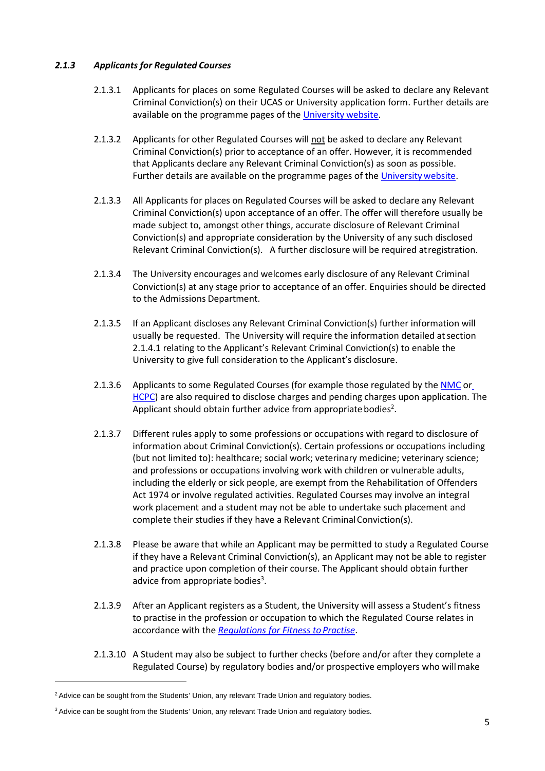## *2.1.3 Applicants for Regulated Courses*

- 2.1.3.1 Applicants for places on some Regulated Courses will be asked to declare any Relevant Criminal Conviction(s) on their UCAS or University application form. Further details are available on the programme pages of the [University](http://www.surrey.ac.uk/) website.
- 2.1.3.2 Applicants for other Regulated Courses will not be asked to declare any Relevant Criminal Conviction(s) prior to acceptance of an offer. However, it is recommended that Applicants declare any Relevant Criminal Conviction(s) as soon as possible. Further details are available on the programme pages of the [Universitywebsite.](http://www.surrey.ac.uk/)
- 2.1.3.3 All Applicants for places on Regulated Courses will be asked to declare any Relevant Criminal Conviction(s) upon acceptance of an offer. The offer will therefore usually be made subject to, amongst other things, accurate disclosure of Relevant Criminal Conviction(s) and appropriate consideration by the University of any such disclosed Relevant Criminal Conviction(s). A further disclosure will be required atregistration.
- 2.1.3.4 The University encourages and welcomes early disclosure of any Relevant Criminal Conviction(s) at any stage prior to acceptance of an offer. Enquiries should be directed to the Admissions Department.
- 2.1.3.5 If an Applicant discloses any Relevant Criminal Conviction(s) further information will usually be requested. The University will require the information detailed atsection [2.1.4.1 r](#page-5-0)elating to the Applicant's Relevant Criminal Conviction(s) to enable the University to give full consideration to the Applicant's disclosure.
- 2.1.3.6 Applicants to some Regulated Courses (for example those regulated by the [NMC](https://www.nmc.org.uk/) o[r](https://www.hcpc-uk.org/) [HCPC\)](https://www.hcpc-uk.org/) are also required to disclose charges and pending charges upon application. The Applicant should obtain further advice from appropriate bodies<sup>2</sup>.
- 2.1.3.7 Different rules apply to some professions or occupations with regard to disclosure of information about Criminal Conviction(s). Certain professions or occupations including (but not limited to): healthcare; social work; veterinary medicine; veterinary science; and professions or occupations involving work with children or vulnerable adults, including the elderly or sick people, are exempt from the Rehabilitation of Offenders Act 1974 or involve regulated activities. Regulated Courses may involve an integral work placement and a student may not be able to undertake such placement and complete their studies if they have a Relevant Criminal Conviction(s).
- 2.1.3.8 Please be aware that while an Applicant may be permitted to study a Regulated Course if they have a Relevant Criminal Conviction(s), an Applicant may not be able to register and practice upon completion of their course. The Applicant should obtain further advice from appropriate bodies<sup>3</sup>.
- 2.1.3.9 After an Applicant registers as a Student, the University will assess a Student's fitness to practise in the profession or occupation to which the Regulated Course relates in accordance with the *[Regulations for Fitness toPractise](https://surreynet.surrey.ac.uk/academic-services/quality-enhancement-and-standards/regulations-and-codes-practice)*.
- 2.1.3.10 A Student may also be subject to further checks (before and/or after they complete a Regulated Course) by regulatory bodies and/or prospective employers who willmake

<sup>&</sup>lt;sup>2</sup> Advice can be sought from the Students' Union, any relevant Trade Union and regulatory bodies.

<sup>&</sup>lt;sup>3</sup> Advice can be sought from the Students' Union, any relevant Trade Union and regulatory bodies.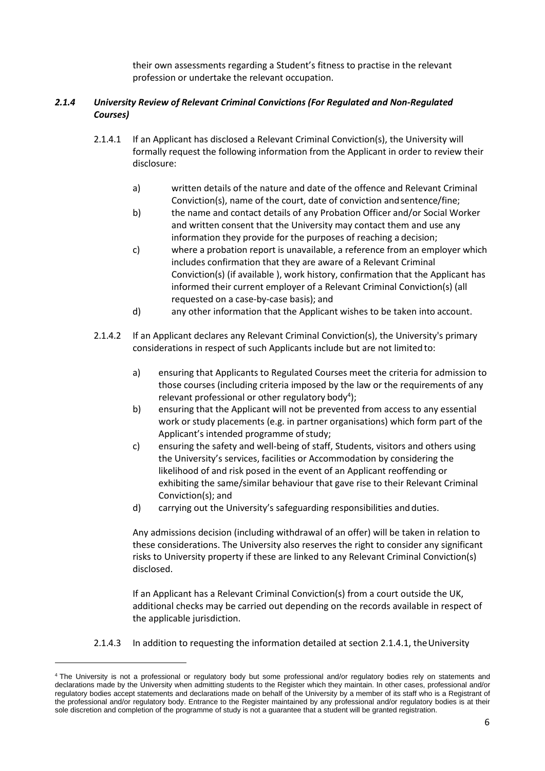their own assessments regarding a Student's fitness to practise in the relevant profession or undertake the relevant occupation.

# <span id="page-5-0"></span>*2.1.4 University Review of Relevant Criminal Convictions (For Regulated and Non-Regulated Courses)*

- 2.1.4.1 If an Applicant has disclosed a Relevant Criminal Conviction(s), the University will formally request the following information from the Applicant in order to review their disclosure:
	- a) written details of the nature and date of the offence and Relevant Criminal Conviction(s), name of the court, date of conviction andsentence/fine;
	- b) the name and contact details of any Probation Officer and/or Social Worker and written consent that the University may contact them and use any information they provide for the purposes of reaching a decision;
	- c) where a probation report is unavailable, a reference from an employer which includes confirmation that they are aware of a Relevant Criminal Conviction(s) (if available ), work history, confirmation that the Applicant has informed their current employer of a Relevant Criminal Conviction(s) (all requested on a case-by-case basis); and
	- d) any other information that the Applicant wishes to be taken into account.
- <span id="page-5-1"></span>2.1.4.2 If an Applicant declares any Relevant Criminal Conviction(s), the University's primary considerations in respect of such Applicants include but are not limited to:
	- a) ensuring that Applicants to Regulated Courses meet the criteria for admission to those courses (including criteria imposed by the law or the requirements of any relevant professional or other regulatory body<sup>4</sup>);
	- b) ensuring that the Applicant will not be prevented from access to any essential work or study placements (e.g. in partner organisations) which form part of the Applicant's intended programme of study;
	- c) ensuring the safety and well-being of staff, Students, visitors and others using the University's services, facilities or Accommodation by considering the likelihood of and risk posed in the event of an Applicant reoffending or exhibiting the same/similar behaviour that gave rise to their Relevant Criminal Conviction(s); and
	- d) carrying out the University's safeguarding responsibilities and duties.

Any admissions decision (including withdrawal of an offer) will be taken in relation to these considerations. The University also reserves the right to consider any significant risks to University property if these are linked to any Relevant Criminal Conviction(s) disclosed.

If an Applicant has a Relevant Criminal Conviction(s) from a court outside the UK, additional checks may be carried out depending on the records available in respect of the applicable jurisdiction.

2.1.4.3 In addition to requesting the information detailed at section [2.1.4.1,](#page-5-0) the University

<sup>4</sup> The University is not a professional or regulatory body but some professional and/or regulatory bodies rely on statements and declarations made by the University when admitting students to the Register which they maintain. In other cases, professional and/or regulatory bodies accept statements and declarations made on behalf of the University by a member of its staff who is a Registrant of the professional and/or regulatory body. Entrance to the Register maintained by any professional and/or regulatory bodies is at their sole discretion and completion of the programme of study is not a guarantee that a student will be granted registration.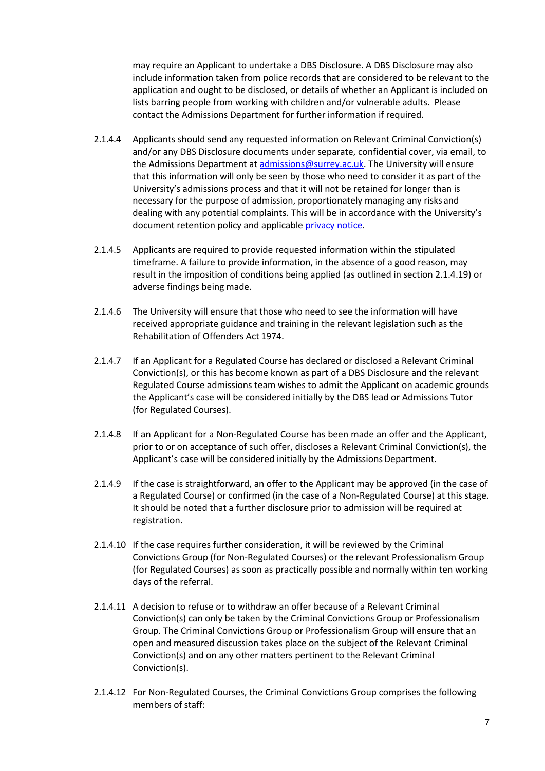may require an Applicant to undertake a DBS Disclosure. A DBS Disclosure may also include information taken from police records that are considered to be relevant to the application and ought to be disclosed, or details of whether an Applicant is included on lists barring people from working with children and/or vulnerable adults. Please contact the Admissions Department for further information if required.

- 2.1.4.4 Applicants should send any requested information on Relevant Criminal Conviction(s) and/or any DBS Disclosure documents under separate, confidential cover, via email, to the Admissions Department at [admissions@surrey.ac.uk. T](mailto:admissions@surrey.ac.uk)he University will ensure that this information will only be seen by those who need to consider it as part of the University's admissions process and that it will not be retained for longer than is necessary for the purpose of admission, proportionately managing any risks and dealing with any potential complaints. This will be in accordance with the University's document retention policy and applicable [privacy notice.](https://www.surrey.ac.uk/information-management/data-protection/student-applicant-privacy-notice)
- 2.1.4.5 Applicants are required to provide requested information within the stipulated timeframe. A failure to provide information, in the absence of a good reason, may result in the imposition of conditions being applied (as outlined in sectio[n 2.1.4.19\)](#page-8-0) or adverse findings being made.
- 2.1.4.6 The University will ensure that those who need to see the information will have received appropriate guidance and training in the relevant legislation such as the Rehabilitation of Offenders Act 1974.
- 2.1.4.7 If an Applicant for a Regulated Course has declared or disclosed a Relevant Criminal Conviction(s), or this has become known as part of a DBS Disclosure and the relevant Regulated Course admissions team wishes to admit the Applicant on academic grounds the Applicant's case will be considered initially by the DBS lead or Admissions Tutor (for Regulated Courses).
- 2.1.4.8 If an Applicant for a Non-Regulated Course has been made an offer and the Applicant, prior to or on acceptance of such offer, discloses a Relevant Criminal Conviction(s), the Applicant's case will be considered initially by the Admissions Department.
- 2.1.4.9 If the case is straightforward, an offer to the Applicant may be approved (in the case of a Regulated Course) or confirmed (in the case of a Non-Regulated Course) at this stage. It should be noted that a further disclosure prior to admission will be required at registration.
- 2.1.4.10 If the case requires further consideration, it will be reviewed by the Criminal Convictions Group (for Non-Regulated Courses) or the relevant Professionalism Group (for Regulated Courses) as soon as practically possible and normally within ten working days of the referral.
- 2.1.4.11 A decision to refuse or to withdraw an offer because of a Relevant Criminal Conviction(s) can only be taken by the Criminal Convictions Group or Professionalism Group. The Criminal Convictions Group or Professionalism Group will ensure that an open and measured discussion takes place on the subject of the Relevant Criminal Conviction(s) and on any other matters pertinent to the Relevant Criminal Conviction(s).
- 2.1.4.12 For Non-Regulated Courses, the Criminal Convictions Group comprises the following members of staff: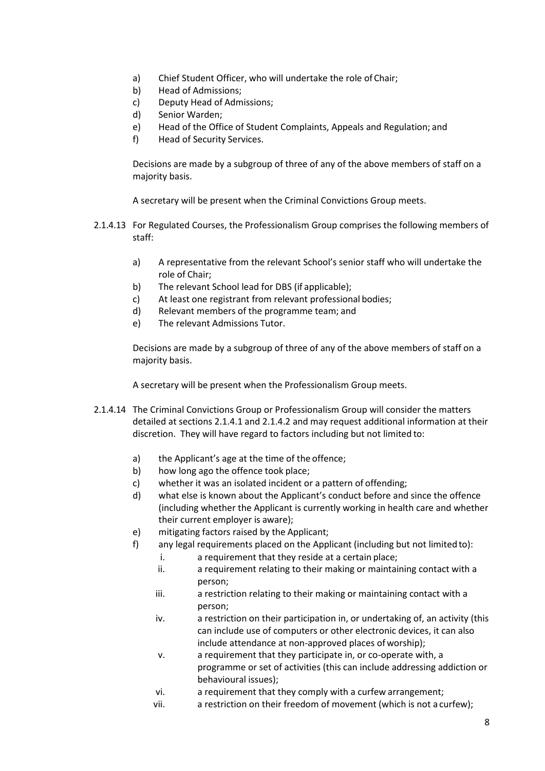- a) Chief Student Officer, who will undertake the role of Chair;
- b) Head of Admissions;
- c) Deputy Head of Admissions;
- d) Senior Warden;
- e) Head of the Office of Student Complaints, Appeals and Regulation; and
- f) Head of Security Services.

Decisions are made by a subgroup of three of any of the above members of staff on a majority basis.

A secretary will be present when the Criminal Convictions Group meets.

- 2.1.4.13 For Regulated Courses, the Professionalism Group comprises the following members of staff:
	- a) A representative from the relevant School's senior staff who will undertake the role of Chair;
	- b) The relevant School lead for DBS (if applicable);
	- c) At least one registrant from relevant professional bodies;
	- d) Relevant members of the programme team; and
	- e) The relevant Admissions Tutor.

Decisions are made by a subgroup of three of any of the above members of staff on a majority basis.

A secretary will be present when the Professionalism Group meets.

- 2.1.4.14 The Criminal Convictions Group or Professionalism Group will consider the matters detailed at section[s 2.1.4.1 a](#page-5-0)nd [2.1.4.2 a](#page-5-1)nd may request additional information at their discretion. They will have regard to factors including but not limited to:
	- a) the Applicant's age at the time of the offence;
	- b) how long ago the offence took place;
	- c) whether it was an isolated incident or a pattern of offending;
	- d) what else is known about the Applicant's conduct before and since the offence (including whether the Applicant is currently working in health care and whether their current employer is aware);
	- e) mitigating factors raised by the Applicant;
	- f) any legal requirements placed on the Applicant (including but not limitedto):
		- i. a requirement that they reside at a certain place;
		- ii. a requirement relating to their making or maintaining contact with a person;
		- iii. a restriction relating to their making or maintaining contact with a person;
		- iv. a restriction on their participation in, or undertaking of, an activity (this can include use of computers or other electronic devices, it can also include attendance at non-approved places of worship);
		- v. a requirement that they participate in, or co-operate with, a programme or set of activities (this can include addressing addiction or behavioural issues);
		- vi. a requirement that they comply with a curfew arrangement;
		- vii. a restriction on their freedom of movement (which is not a curfew);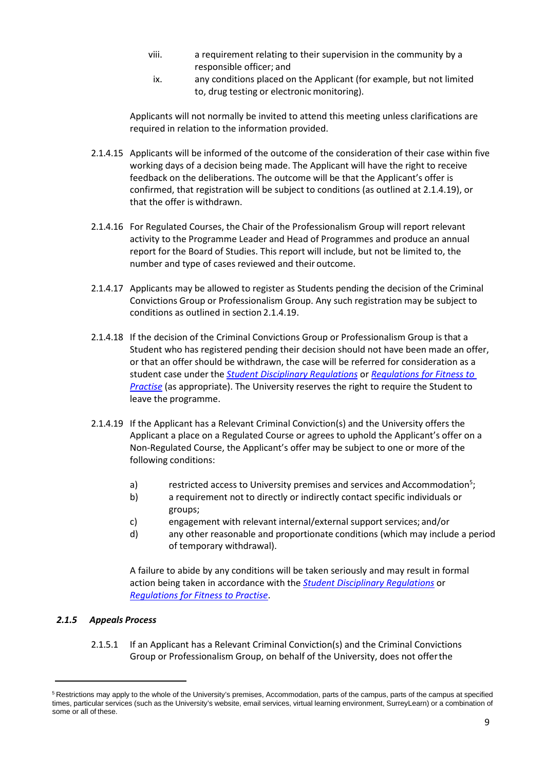- viii. a requirement relating to their supervision in the community by a responsible officer; and
- ix. any conditions placed on the Applicant (for example, but not limited to, drug testing or electronic monitoring).

Applicants will not normally be invited to attend this meeting unless clarifications are required in relation to the information provided.

- 2.1.4.15 Applicants will be informed of the outcome of the consideration of their case within five working days of a decision being made. The Applicant will have the right to receive feedback on the deliberations. The outcome will be that the Applicant's offer is confirmed, that registration will be subject to conditions (as outlined at [2.1.4.19\)](#page-8-0), or that the offer is withdrawn.
- 2.1.4.16 For Regulated Courses, the Chair of the Professionalism Group will report relevant activity to the Programme Leader and Head of Programmes and produce an annual report for the Board of Studies. This report will include, but not be limited to, the number and type of cases reviewed and their outcome.
- 2.1.4.17 Applicants may be allowed to register as Students pending the decision of the Criminal Convictions Group or Professionalism Group. Any such registration may be subject to conditions as outlined in section [2.1.4.19.](#page-8-0)
- 2.1.4.18 If the decision of the Criminal Convictions Group or Professionalism Group is that a Student who has registered pending their decision should not have been made an offer, or that an offer should be withdrawn, the case will be referred for consideration as a student case under the *[Student Disciplinary Regulations](https://surreynet.surrey.ac.uk/academic-services/quality-enhancement-and-standards/regulations-and-codes-practice)* or *[Regulations for Fitness](https://surreynet.surrey.ac.uk/academic-services/quality-enhancement-and-standards/regulations-and-codes-practice) [to](https://surreynet.surrey.ac.uk/academic-services/quality-enhancement-and-standards/regulations-and-codes-practice)  [Practise](https://surreynet.surrey.ac.uk/academic-services/quality-enhancement-and-standards/regulations-and-codes-practice)* (as appropriate). The University reserves the right to require the Student to leave the programme.
- <span id="page-8-0"></span>2.1.4.19 If the Applicant has a Relevant Criminal Conviction(s) and the University offers the Applicant a place on a Regulated Course or agrees to uphold the Applicant's offer on a Non-Regulated Course, the Applicant's offer may be subject to one or more of the following conditions:
	- a) restricted access to University premises and services and Accommodation<sup>5</sup>;
	- b) a requirement not to directly or indirectly contact specific individuals or groups;
	- c) engagement with relevant internal/external support services; and/or
	- d) any other reasonable and proportionate conditions (which may include a period of temporary withdrawal).

A failure to abide by any conditions will be taken seriously and may result in formal action being taken in accordance with the *[Student Disciplinary Regulations](https://surreynet.surrey.ac.uk/academic-services/quality-enhancement-and-standards/regulations-and-codes-practice)* or *[Regulations for Fitness to Practise](https://surreynet.surrey.ac.uk/academic-services/quality-enhancement-and-standards/regulations-and-codes-practice)*.

#### *2.1.5 Appeals Process*

2.1.5.1 If an Applicant has a Relevant Criminal Conviction(s) and the Criminal Convictions Group or Professionalism Group, on behalf of the University, does not offerthe

<sup>&</sup>lt;sup>5</sup> Restrictions may apply to the whole of the University's premises, Accommodation, parts of the campus, parts of the campus at specified times, particular services (such as the University's website, email services, virtual learning environment, SurreyLearn) or a combination of some or all of these.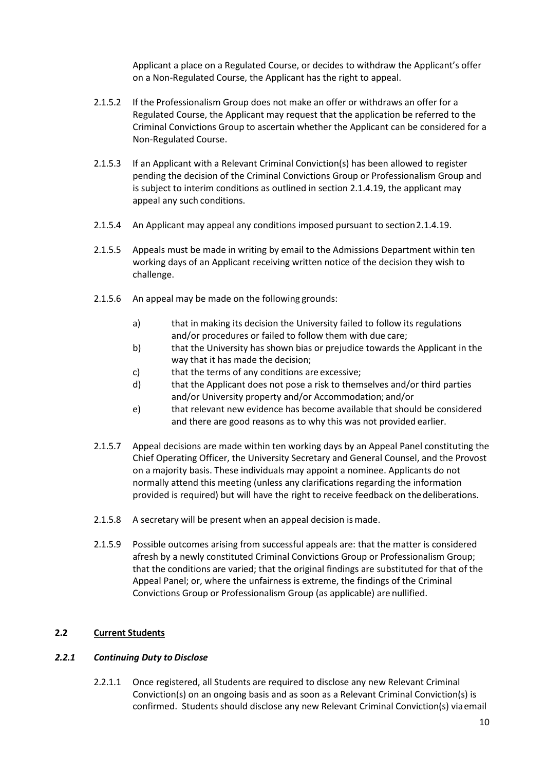Applicant a place on a Regulated Course, or decides to withdraw the Applicant's offer on a Non-Regulated Course, the Applicant has the right to appeal.

- 2.1.5.2 If the Professionalism Group does not make an offer or withdraws an offer for a Regulated Course, the Applicant may request that the application be referred to the Criminal Convictions Group to ascertain whether the Applicant can be considered for a Non-Regulated Course.
- 2.1.5.3 If an Applicant with a Relevant Criminal Conviction(s) has been allowed to register pending the decision of the Criminal Convictions Group or Professionalism Group and is subject to interim conditions as outlined in section [2.1.4.19,](#page-8-0) the applicant may appeal any such conditions.
- 2.1.5.4 An Applicant may appeal any conditions imposed pursuant to sectio[n2.1.4.19.](#page-8-0)
- 2.1.5.5 Appeals must be made in writing by email to the Admissions Department within ten working days of an Applicant receiving written notice of the decision they wish to challenge.
- <span id="page-9-0"></span>2.1.5.6 An appeal may be made on the following grounds:
	- a) that in making its decision the University failed to follow its regulations and/or procedures or failed to follow them with due care;
	- b) that the University has shown bias or prejudice towards the Applicant in the way that it has made the decision;
	- c) that the terms of any conditions are excessive;
	- d) that the Applicant does not pose a risk to themselves and/or third parties and/or University property and/or Accommodation; and/or
	- e) that relevant new evidence has become available that should be considered and there are good reasons as to why this was not provided earlier.
- <span id="page-9-1"></span>2.1.5.7 Appeal decisions are made within ten working days by an Appeal Panel constituting the Chief Operating Officer, the University Secretary and General Counsel, and the Provost on a majority basis. These individuals may appoint a nominee. Applicants do not normally attend this meeting (unless any clarifications regarding the information provided is required) but will have the right to receive feedback on thedeliberations.
- 2.1.5.8 A secretary will be present when an appeal decision ismade.
- 2.1.5.9 Possible outcomes arising from successful appeals are: that the matter is considered afresh by a newly constituted Criminal Convictions Group or Professionalism Group; that the conditions are varied; that the original findings are substituted for that of the Appeal Panel; or, where the unfairness is extreme, the findings of the Criminal Convictions Group or Professionalism Group (as applicable) are nullified.

# **2.2 Current Students**

#### *2.2.1 Continuing Duty to Disclose*

2.2.1.1 Once registered, all Students are required to disclose any new Relevant Criminal Conviction(s) on an ongoing basis and as soon as a Relevant Criminal Conviction(s) is confirmed. Students should disclose any new Relevant Criminal Conviction(s) viaemail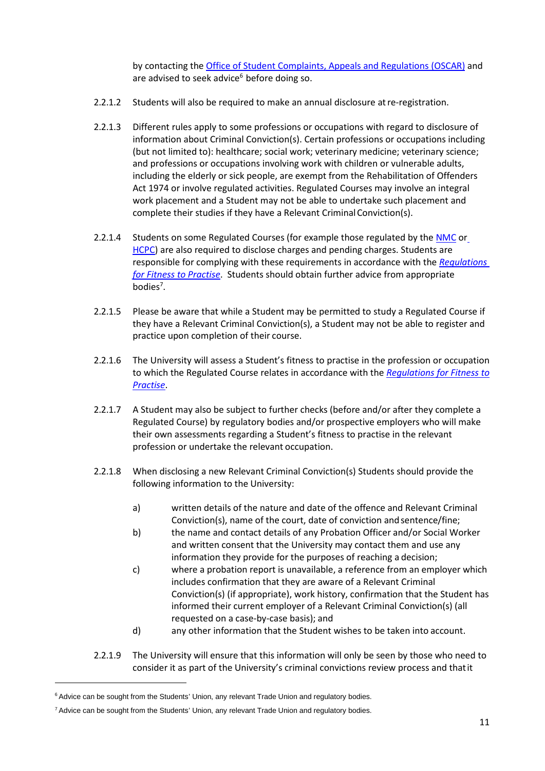by contacting the [Office of Student Complaints, Appeals and Regulations \(OSCAR\)](http://www.surrey.ac.uk/oscar) and are advised to seek advice<sup>6</sup> before doing so.

- 2.2.1.2 Students will also be required to make an annual disclosure at re-registration.
- 2.2.1.3 Different rules apply to some professions or occupations with regard to disclosure of information about Criminal Conviction(s). Certain professions or occupations including (but not limited to): healthcare; social work; veterinary medicine; veterinary science; and professions or occupations involving work with children or vulnerable adults, including the elderly or sick people, are exempt from the Rehabilitation of Offenders Act 1974 or involve regulated activities. Regulated Courses may involve an integral work placement and a Student may not be able to undertake such placement and complete their studies if they have a Relevant Criminal Conviction(s).
- 2.2.1.4 Students on some Regulated Courses (for example those regulated by the [NMC](https://www.nmc.org.uk/) o[r](https://www.hcpc-uk.org/) [HCPC\)](https://www.hcpc-uk.org/) are also required to disclose charges and pending charges. Students are responsible for complying with these requirements in accordance with the *[Regulations](https://surreynet.surrey.ac.uk/academic-services/quality-enhancement-and-standards/regulations-and-codes-practice) [for Fitness to Practise](https://surreynet.surrey.ac.uk/academic-services/quality-enhancement-and-standards/regulations-and-codes-practice)*. Students should obtain further advice from appropriate bodies<sup>7</sup>.
- 2.2.1.5 Please be aware that while a Student may be permitted to study a Regulated Course if they have a Relevant Criminal Conviction(s), a Student may not be able to register and practice upon completion of their course.
- 2.2.1.6 The University will assess a Student's fitness to practise in the profession or occupation to which the Regulated Course relates in accordance with the *[Regulations for Fitness to](https://surreynet.surrey.ac.uk/academic-services/quality-enhancement-and-standards/regulations-and-codes-practice) [Practise](https://surreynet.surrey.ac.uk/academic-services/quality-enhancement-and-standards/regulations-and-codes-practice)*.
- 2.2.1.7 A Student may also be subject to further checks (before and/or after they complete a Regulated Course) by regulatory bodies and/or prospective employers who will make their own assessments regarding a Student's fitness to practise in the relevant profession or undertake the relevant occupation.
- 2.2.1.8 When disclosing a new Relevant Criminal Conviction(s) Students should provide the following information to the University:
	- a) written details of the nature and date of the offence and Relevant Criminal Conviction(s), name of the court, date of conviction andsentence/fine;
	- b) the name and contact details of any Probation Officer and/or Social Worker and written consent that the University may contact them and use any information they provide for the purposes of reaching a decision;
	- c) where a probation report is unavailable, a reference from an employer which includes confirmation that they are aware of a Relevant Criminal Conviction(s) (if appropriate), work history, confirmation that the Student has informed their current employer of a Relevant Criminal Conviction(s) (all requested on a case-by-case basis); and
	- d) any other information that the Student wishes to be taken into account.
- 2.2.1.9 The University will ensure that this information will only be seen by those who need to consider it as part of the University's criminal convictions review process and thatit

<sup>&</sup>lt;sup>6</sup> Advice can be sought from the Students' Union, any relevant Trade Union and regulatory bodies.

<sup>7</sup> Advice can be sought from the Students' Union, any relevant Trade Union and regulatory bodies.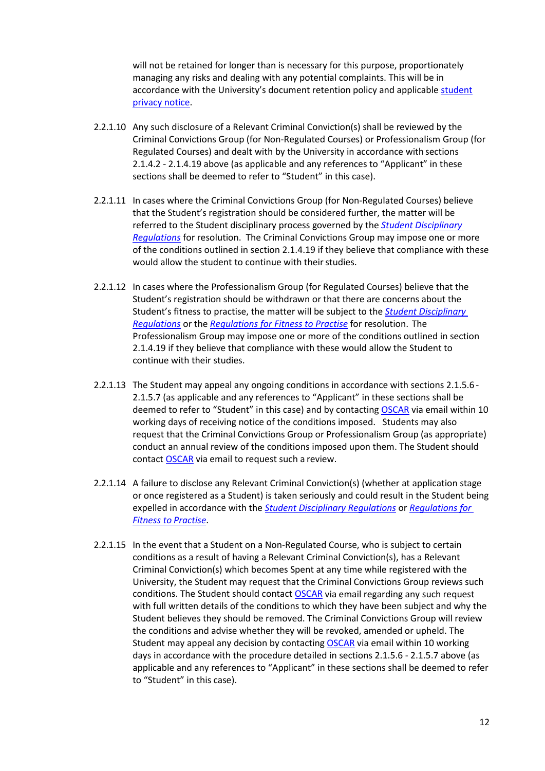will not be retained for longer than is necessary for this purpose, proportionately managing any risks and dealing with any potential complaints. This will be in accordance with the University's document retention policy and applicable [student](https://www.surrey.ac.uk/information-management/data-protection/student-privacy-notice) [privacy notice.](https://www.surrey.ac.uk/information-management/data-protection/student-privacy-notice)

- 2.2.1.10 Any such disclosure of a Relevant Criminal Conviction(s) shall be reviewed by the Criminal Convictions Group (for Non-Regulated Courses) or Professionalism Group (for Regulated Courses) and dealt with by the University in accordance with sections [2.1.4.2 -](#page-5-1) [2.1.4.19 a](#page-8-0)bove (as applicable and any references to "Applicant" in these sections shall be deemed to refer to "Student" in this case).
- 2.2.1.11 In cases where the Criminal Convictions Group (for Non-Regulated Courses) believe that the Student's registration should be considered further, the matter will be referred to the Student disciplinary process governed by the *[Student Disciplinary](https://surreynet.surrey.ac.uk/academic-services/quality-enhancement-and-standards/regulations-and-codes-practice) [Regulations](https://surreynet.surrey.ac.uk/academic-services/quality-enhancement-and-standards/regulations-and-codes-practice)* for resolution. The Criminal Convictions Group may impose one or more of the conditions outlined in sectio[n 2.1.4.19 i](#page-8-0)f they believe that compliance with these would allow the student to continue with their studies.
- 2.2.1.12 In cases where the Professionalism Group (for Regulated Courses) believe that the Student's registration should be withdrawn or that there are concerns about the Student's fitness to practise, the matter will be subject to the *[Student Disciplinary](https://surreynet.surrey.ac.uk/academic-services/quality-enhancement-and-standards/regulations-and-codes-practice) [Regulations](https://surreynet.surrey.ac.uk/academic-services/quality-enhancement-and-standards/regulations-and-codes-practice)* or the *[Regulations for Fitness to Practise](https://surreynet.surrey.ac.uk/academic-services/quality-enhancement-and-standards/regulations-and-codes-practice)* for resolution. The Professionalism Group may impose one or more of the conditions outlined in section [2.1.4.19](#page-8-0) if they believe that compliance with these would allow the Student to continue with their studies.
- 2.2.1.13 The Student may appeal any ongoing conditions in accordance with sections [2.1.5.6](#page-9-0) [2.1.5.7 \(](#page-9-1)as applicable and any references to "Applicant" in these sections shall be deemed to refer to "Student" in this case) and by contacting [OSCAR](http://www.surrey.ac.uk/OSCAR) via email within 10 working days of receiving notice of the conditions imposed. Students may also request that the Criminal Convictions Group or Professionalism Group (as appropriate) conduct an annual review of the conditions imposed upon them. The Student should contact **OSCAR** via email to request such a review.
- 2.2.1.14 A failure to disclose any Relevant Criminal Conviction(s) (whether at application stage or once registered as a Student) is taken seriously and could result in the Student being expelled in accordance with the *[Student Disciplinary Regulations](https://surreynet.surrey.ac.uk/academic-services/quality-enhancement-and-standards/regulations-and-codes-practice)* or *[Regulations for](https://surreynet.surrey.ac.uk/academic-services/quality-enhancement-and-standards/regulations-and-codes-practice) [Fitness to](https://surreynet.surrey.ac.uk/academic-services/quality-enhancement-and-standards/regulations-and-codes-practice) Practise*.
- 2.2.1.15 In the event that a Student on a Non-Regulated Course, who is subject to certain conditions as a result of having a Relevant Criminal Conviction(s), has a Relevant Criminal Conviction(s) which becomes Spent at any time while registered with the University, the Student may request that the Criminal Convictions Group reviews such conditions. The Student should contact [OSCAR](http://www.surrey.ac.uk/oscar) via email regarding any such request with full written details of the conditions to which they have been subject and why the Student believes they should be removed. The Criminal Convictions Group will review the conditions and advise whether they will be revoked, amended or upheld. The Student may appeal any decision by contacting **[OSCAR](http://www.surrey.ac.uk/oscar)** via email within 10 working days in accordance with the procedure detailed in sections [2.1.5.6 -](#page-9-0) [2.1.5.7 a](#page-9-1)bove (as applicable and any references to "Applicant" in these sections shall be deemed to refer to "Student" in this case).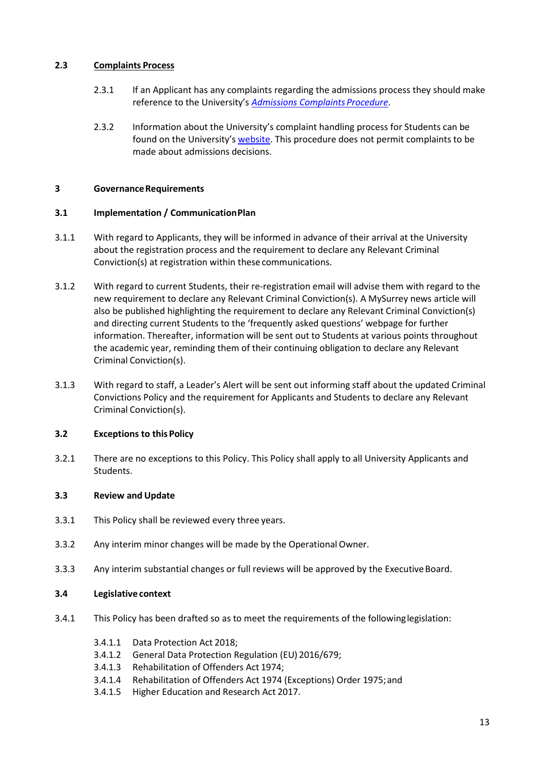## **2.3 Complaints Process**

- 2.3.1 If an Applicant has any complaints regarding the admissions process they should make reference to the University's *[Admissions Complaints](http://www.surrey.ac.uk/apply/policies/admissions-complaints-procedure) Procedure*.
- 2.3.2 Information about the University's complaint handling process for Students can be found on the University's [website.](https://surreynet.surrey.ac.uk/academic-services/quality-enhancement-and-standards/regulations-and-codes-practice) This procedure does not permit complaints to be made about admissions decisions.

#### **3 GovernanceRequirements**

## **3.1 Implementation / CommunicationPlan**

- 3.1.1 With regard to Applicants, they will be informed in advance of their arrival at the University about the registration process and the requirement to declare any Relevant Criminal Conviction(s) at registration within these communications.
- 3.1.2 With regard to current Students, their re-registration email will advise them with regard to the new requirement to declare any Relevant Criminal Conviction(s). A MySurrey news article will also be published highlighting the requirement to declare any Relevant Criminal Conviction(s) and directing current Students to the 'frequently asked questions' webpage for further information. Thereafter, information will be sent out to Students at various points throughout the academic year, reminding them of their continuing obligation to declare any Relevant Criminal Conviction(s).
- 3.1.3 With regard to staff, a Leader's Alert will be sent out informing staff about the updated Criminal Convictions Policy and the requirement for Applicants and Students to declare any Relevant Criminal Conviction(s).

#### **3.2 Exceptions to this Policy**

3.2.1 There are no exceptions to this Policy. This Policy shall apply to all University Applicants and Students.

#### **3.3 Review and Update**

- 3.3.1 This Policy shall be reviewed every three years.
- 3.3.2 Any interim minor changes will be made by the Operational Owner.
- 3.3.3 Any interim substantial changes or full reviews will be approved by the Executive Board.

# **3.4 Legislative context**

- 3.4.1 This Policy has been drafted so as to meet the requirements of the followinglegislation:
	- 3.4.1.1 Data Protection Act 2018;
	- 3.4.1.2 General Data Protection Regulation (EU) 2016/679;
	- 3.4.1.3 Rehabilitation of Offenders Act 1974;
	- 3.4.1.4 Rehabilitation of Offenders Act 1974 (Exceptions) Order 1975;and
	- 3.4.1.5 Higher Education and Research Act 2017.